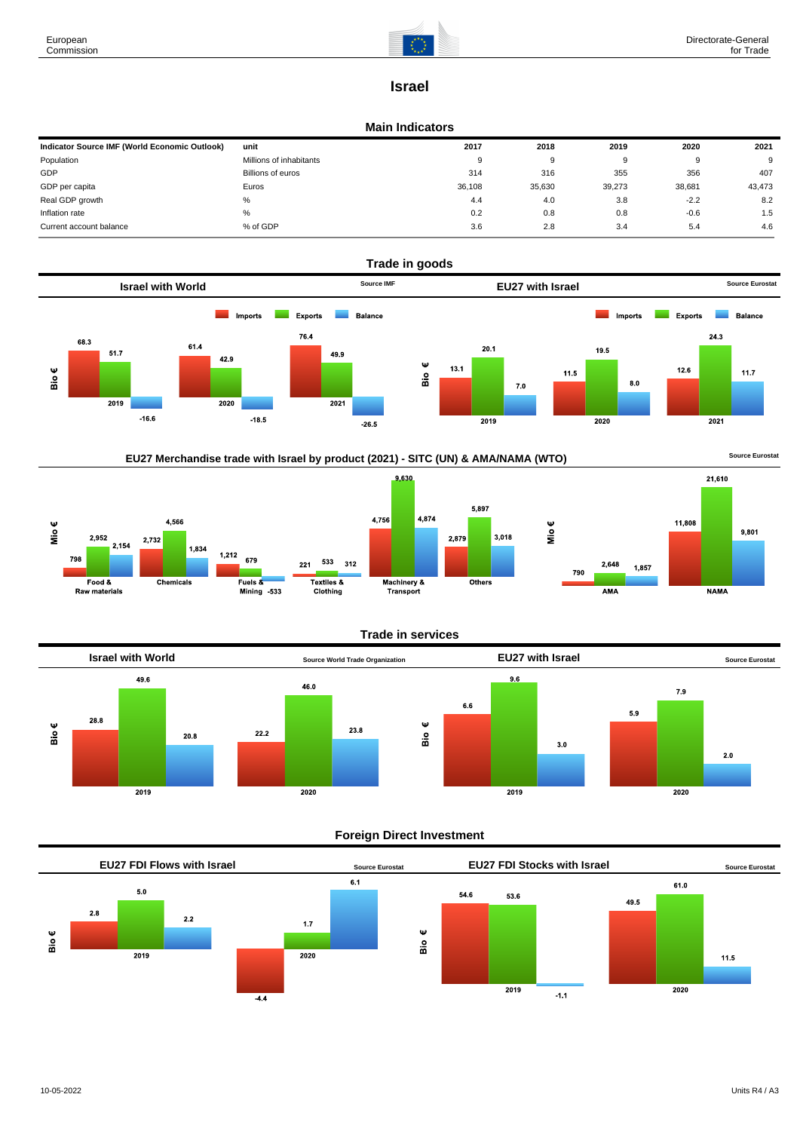

# **Israel**

### **Main Indicators**

| Indicator Source IMF (World Economic Outlook) | unit                    | 2017   | 2018   | 2019     | 2020   | 2021   |
|-----------------------------------------------|-------------------------|--------|--------|----------|--------|--------|
| Population                                    | Millions of inhabitants | 9      | 9      | $\Omega$ |        | 9      |
| GDP                                           | Billions of euros       | 314    | 316    | 355      | 356    | 407    |
| GDP per capita                                | Euros                   | 36,108 | 35,630 | 39,273   | 38,681 | 43,473 |
| Real GDP growth                               | %                       | 4.4    | 4.0    | 3.8      | $-2.2$ | 8.2    |
| Inflation rate                                | %                       | 0.2    | 0.8    | 0.8      | $-0.6$ | 1.5    |
| Current account balance                       | % of GDP                | 3.6    | 2.8    | 3.4      | 5.4    | 4.6    |













## **Foreign Direct Investment**